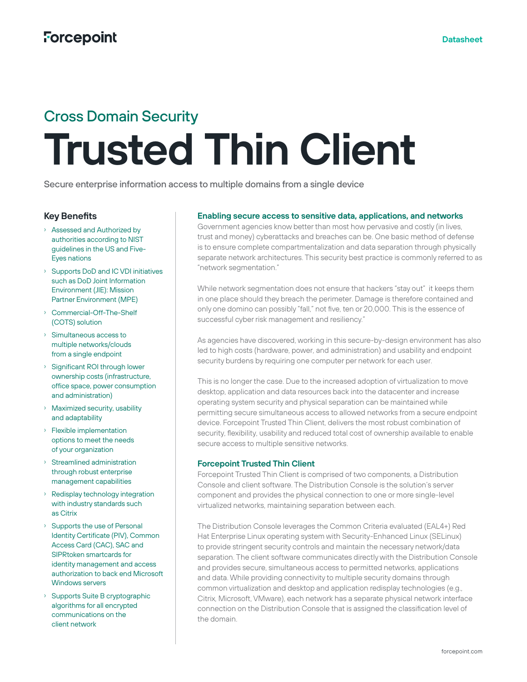# Cross Domain Security **Trusted Thin Client**

Secure enterprise information access to multiple domains from a single device

### **Key Benefits**

- › Assessed and Authorized by authorities according to NIST guidelines in the US and Five-Eyes nations
- › Supports DoD and IC VDI initiatives such as DoD Joint Information Environment (JIE): Mission Partner Environment (MPE)
- › Commercial-Off-The-Shelf (COTS) solution
- › Simultaneous access to multiple networks/clouds from a single endpoint
- › Significant ROI through lower ownership costs (infrastructure, office space, power consumption and administration)
- › Maximized security, usability and adaptability
- › Flexible implementation options to meet the needs of your organization
- › Streamlined administration through robust enterprise management capabilities
- › Redisplay technology integration with industry standards such as Citrix
- Supports the use of Personal Identity Certificate (PIV), Common Access Card (CAC), SAC and SIPRtoken smartcards for identity management and access authorization to back end Microsoft Windows servers
- › Supports Suite B cryptographic algorithms for all encrypted communications on the client network

#### **Enabling secure access to sensitive data, applications, and networks**

Government agencies know better than most how pervasive and costly (in lives, trust and money) cyberattacks and breaches can be. One basic method of defense is to ensure complete compartmentalization and data separation through physically separate network architectures. This security best practice is commonly referred to as "network segmentation."

While network segmentation does not ensure that hackers "stay out" it keeps them in one place should they breach the perimeter. Damage is therefore contained and only one domino can possibly "fall," not five, ten or 20,000. This is the essence of successful cyber risk management and resiliency."

As agencies have discovered, working in this secure-by-design environment has also led to high costs (hardware, power, and administration) and usability and endpoint security burdens by requiring one computer per network for each user.

This is no longer the case. Due to the increased adoption of virtualization to move desktop, application and data resources back into the datacenter and increase operating system security and physical separation can be maintained while permitting secure simultaneous access to allowed networks from a secure endpoint device. Forcepoint Trusted Thin Client, delivers the most robust combination of security, flexibility, usability and reduced total cost of ownership available to enable secure access to multiple sensitive networks.

#### **Forcepoint Trusted Thin Client**

Forcepoint Trusted Thin Client is comprised of two components, a Distribution Console and client software. The Distribution Console is the solution's server component and provides the physical connection to one or more single-level virtualized networks, maintaining separation between each.

The Distribution Console leverages the Common Criteria evaluated (EAL4+) Red Hat Enterprise Linux operating system with Security-Enhanced Linux (SELinux) to provide stringent security controls and maintain the necessary network/data separation. The client software communicates directly with the Distribution Console and provides secure, simultaneous access to permitted networks, applications and data. While providing connectivity to multiple security domains through common virtualization and desktop and application redisplay technologies (e.g., Citrix, Microsoft, VMware), each network has a separate physical network interface connection on the Distribution Console that is assigned the classification level of the domain.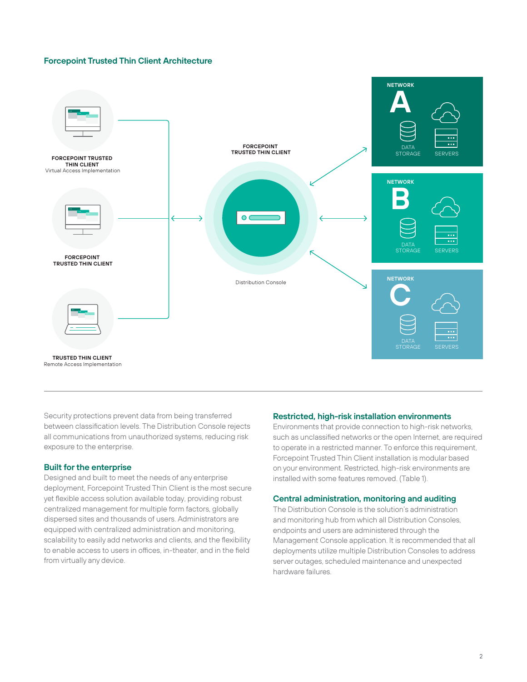#### **Forcepoint Trusted Thin Client Architecture**



Security protections prevent data from being transferred between classification levels. The Distribution Console rejects all communications from unauthorized systems, reducing risk exposure to the enterprise.

#### **Built for the enterprise**

Designed and built to meet the needs of any enterprise deployment, Forcepoint Trusted Thin Client is the most secure yet flexible access solution available today, providing robust centralized management for multiple form factors, globally dispersed sites and thousands of users. Administrators are equipped with centralized administration and monitoring, scalability to easily add networks and clients, and the flexibility to enable access to users in offices, in-theater, and in the field from virtually any device.

#### **Restricted, high-risk installation environments**

Environments that provide connection to high-risk networks, such as unclassified networks or the open Internet, are required to operate in a restricted manner. To enforce this requirement, Forcepoint Trusted Thin Client installation is modular based on your environment. Restricted, high-risk environments are installed with some features removed. (Table 1).

#### **Central administration, monitoring and auditing**

The Distribution Console is the solution's administration and monitoring hub from which all Distribution Consoles, endpoints and users are administered through the Management Console application. It is recommended that all deployments utilize multiple Distribution Consoles to address server outages, scheduled maintenance and unexpected hardware failures.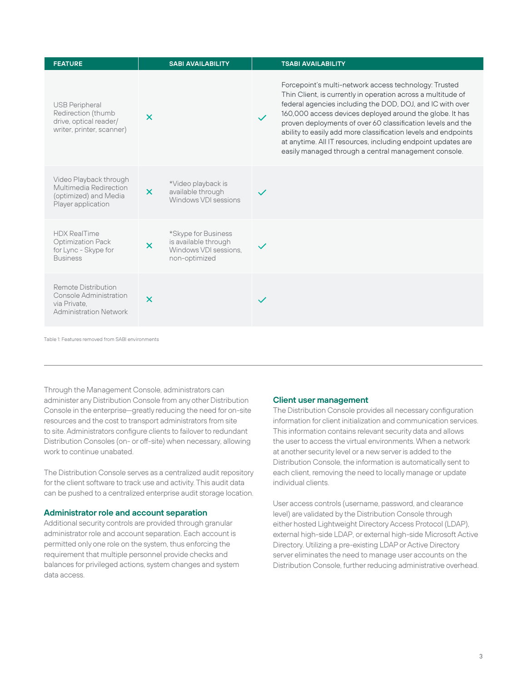| <b>FEATURE</b>                                                                                        | <b>SABI AVAILABILITY</b>                                                                                           | <b>TSABI AVAILABILITY</b>                                                                                                                                                                                                                                                                                                                                                                                                                                                                               |
|-------------------------------------------------------------------------------------------------------|--------------------------------------------------------------------------------------------------------------------|---------------------------------------------------------------------------------------------------------------------------------------------------------------------------------------------------------------------------------------------------------------------------------------------------------------------------------------------------------------------------------------------------------------------------------------------------------------------------------------------------------|
| <b>USB Peripheral</b><br>Redirection (thumb<br>drive, optical reader/<br>writer, printer, scanner)    | $\boldsymbol{\mathsf{x}}$                                                                                          | Forcepoint's multi-network access technology: Trusted<br>Thin Client, is currently in operation across a multitude of<br>federal agencies including the DOD, DOJ, and IC with over<br>160,000 access devices deployed around the globe. It has<br>proven deployments of over 60 classification levels and the<br>ability to easily add more classification levels and endpoints<br>at anytime. All IT resources, including endpoint updates are<br>easily managed through a central management console. |
| Video Playback through<br>Multimedia Redirection<br>(optimized) and Media<br>Player application       | *Video playback is<br>$\boldsymbol{\times}$<br>available through<br>Windows VDI sessions                           | $\checkmark$                                                                                                                                                                                                                                                                                                                                                                                                                                                                                            |
| <b>HDX RealTime</b><br><b>Optimization Pack</b><br>for Lync - Skype for<br><b>Business</b>            | *Skype for Business<br>is available through<br>$\boldsymbol{\mathsf{x}}$<br>Windows VDI sessions.<br>non-optimized |                                                                                                                                                                                                                                                                                                                                                                                                                                                                                                         |
| Remote Distribution<br><b>Console Administration</b><br>via Private.<br><b>Administration Network</b> | $\overline{\mathsf{x}}$                                                                                            |                                                                                                                                                                                                                                                                                                                                                                                                                                                                                                         |

Table 1: Features removed from SABI environments

Through the Management Console, administrators can administer any Distribution Console from any other Distribution Console in the enterprise—greatly reducing the need for on-site resources and the cost to transport administrators from site to site. Administrators configure clients to failover to redundant Distribution Consoles (on- or off-site) when necessary, allowing work to continue unabated.

The Distribution Console serves as a centralized audit repository for the client software to track use and activity. This audit data can be pushed to a centralized enterprise audit storage location.

#### **Administrator role and account separation**

Additional security controls are provided through granular administrator role and account separation. Each account is permitted only one role on the system, thus enforcing the requirement that multiple personnel provide checks and balances for privileged actions, system changes and system data access.

#### **Client user management**

The Distribution Console provides all necessary configuration information for client initialization and communication services. This information contains relevant security data and allows the user to access the virtual environments. When a network at another security level or a new server is added to the Distribution Console, the information is automatically sent to each client, removing the need to locally manage or update individual clients.

User access controls (username, password, and clearance level) are validated by the Distribution Console through either hosted Lightweight Directory Access Protocol (LDAP), external high-side LDAP, or external high-side Microsoft Active Directory. Utilizing a pre-existing LDAP or Active Directory server eliminates the need to manage user accounts on the Distribution Console, further reducing administrative overhead.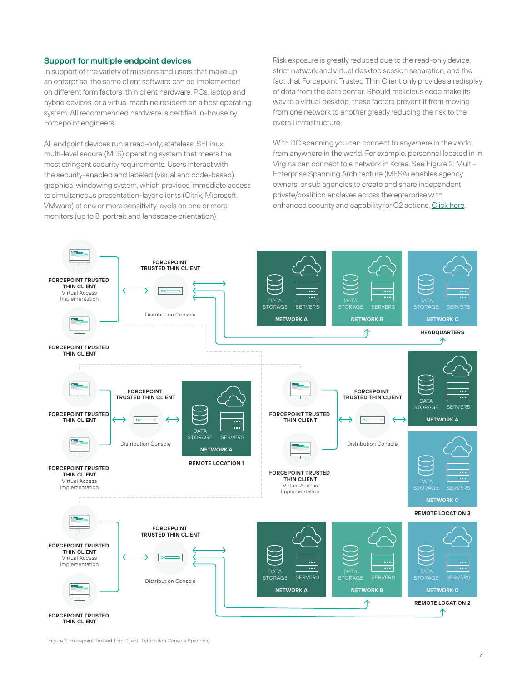#### **Support for multiple endpoint devices**

In support of the variety of missions and users that make up an enterprise, the same client software can be implemented on different form factors: thin client hardware, PCs, laptop and hybrid devices, or a virtual machine resident on a host operating system. All recommended hardware is certified in-house by Forcepoint engineers.

All endpoint devices run a read-only, stateless, SELinux multi-level secure (MLS) operating system that meets the most stringent security requirements. Users interact with the security-enabled and labeled (visual and code-based) graphical windowing system, which provides immediate access to simultaneous presentation-layer clients (Citrix, Microsoft, VMware) at one or more sensitivity levels on one or more monitors (up to 8, portrait and landscape orientation).

Risk exposure is greatly reduced due to the read-only device, strict network and virtual desktop session separation, and the fact that Forcepoint Trusted Thin Client only provides a redisplay of data from the data center. Should malicious code make its way to a virtual desktop, these factors prevent it from moving from one network to another greatly reducing the risk to the overall infrastructure.

With DC spanning you can connect to anywhere in the world, from anywhere in the world. For example, personnel located in in Virgina can connect to a network in Korea. See Figure 2. Multi-Enterprise Spanning Architecture (MESA) enables agency owners, or sub agencies to create and share independent private/coalition enclaves across the enterprise with enhanced security and capability for C2 actions. [Click here.](https://www.forcepoint.com/sites/default/files/resources/datasheets/solution_brief_multienterprise_architecture_networking_en.pdf)



**THIN CLIENT**